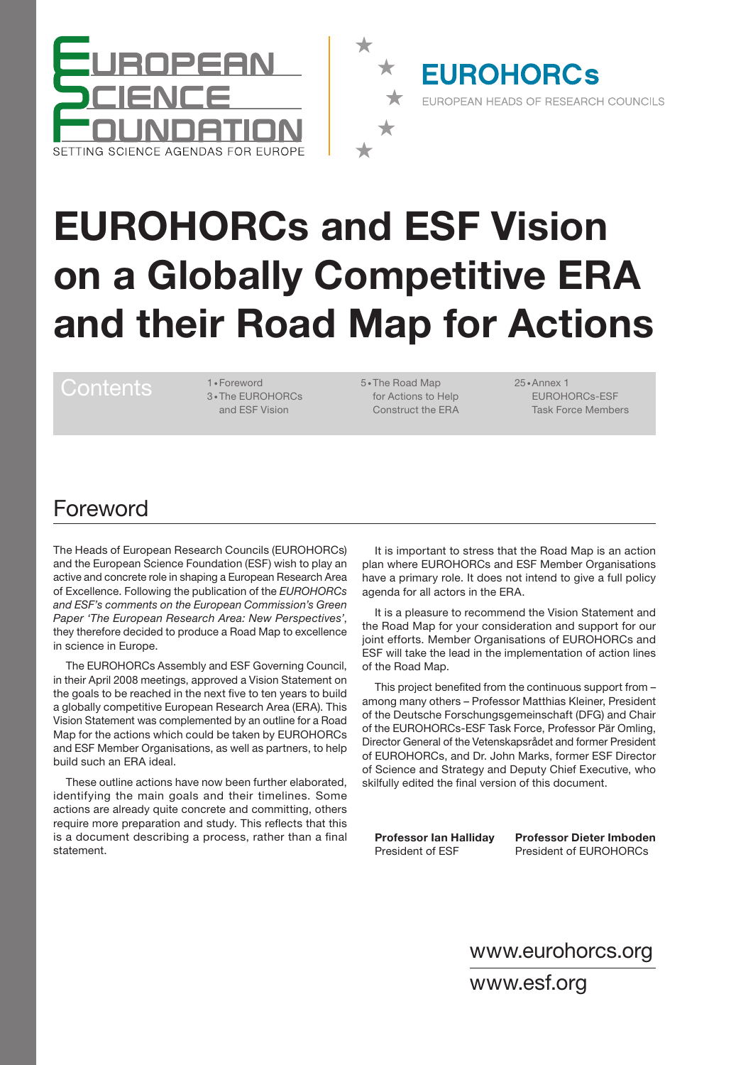



# EUROHORCs and ESF Vision on a Globally Competitive ERA and their Road Map for Actions

## Contents 1•Foreword

3• The EUROHORCs and ESF Vision

5• The Road Map for Actions to Help Construct the ERA 25• Annex 1 EUROHORCs-ESF Task Force Members

# Foreword

The Heads of European Research Councils (EUROHORCs) and the European Science Foundation (ESF) wish to play an active and concrete role in shaping a European Research Area of Excellence. Following the publication of the *EUROHORCs and ESF's comments on the European Commission's Green Paper 'The European Research Area: New Perspectives'*, they therefore decided to produce a Road Map to excellence in science in Europe.

The EUROHORCs Assembly and ESF Governing Council, in their April 2008 meetings, approved a Vision Statement on the goals to be reached in the next five to ten years to build a globally competitive European Research Area (ERA). This Vision Statement was complemented by an outline for a Road Map for the actions which could be taken by EUROHORCs and ESF Member Organisations, as well as partners, to help build such an ERA ideal.

These outline actions have now been further elaborated, identifying the main goals and their timelines. Some actions are already quite concrete and committing, others require more preparation and study. This reflects that this is a document describing a process, rather than a final statement.

It is important to stress that the Road Map is an action plan where EUROHORCs and ESF Member Organisations have a primary role. It does not intend to give a full policy agenda for all actors in the ERA.

It is a pleasure to recommend the Vision Statement and the Road Map for your consideration and support for our joint efforts. Member Organisations of EUROHORCs and ESF will take the lead in the implementation of action lines of the Road Map.

This project benefited from the continuous support from – among many others – Professor Matthias Kleiner, President of the Deutsche Forschungsgemeinschaft (DFG) and Chair of the EUROHORCs-ESF Task Force, Professor Pär Omling, Director General of the Vetenskapsrådet and former President of EUROHORCs, and Dr. John Marks, former ESF Director of Science and Strategy and Deputy Chief Executive, who skilfully edited the final version of this document.

Professor Ian Halliday Professor Dieter Imboden President of ESF President of EUROHORCs

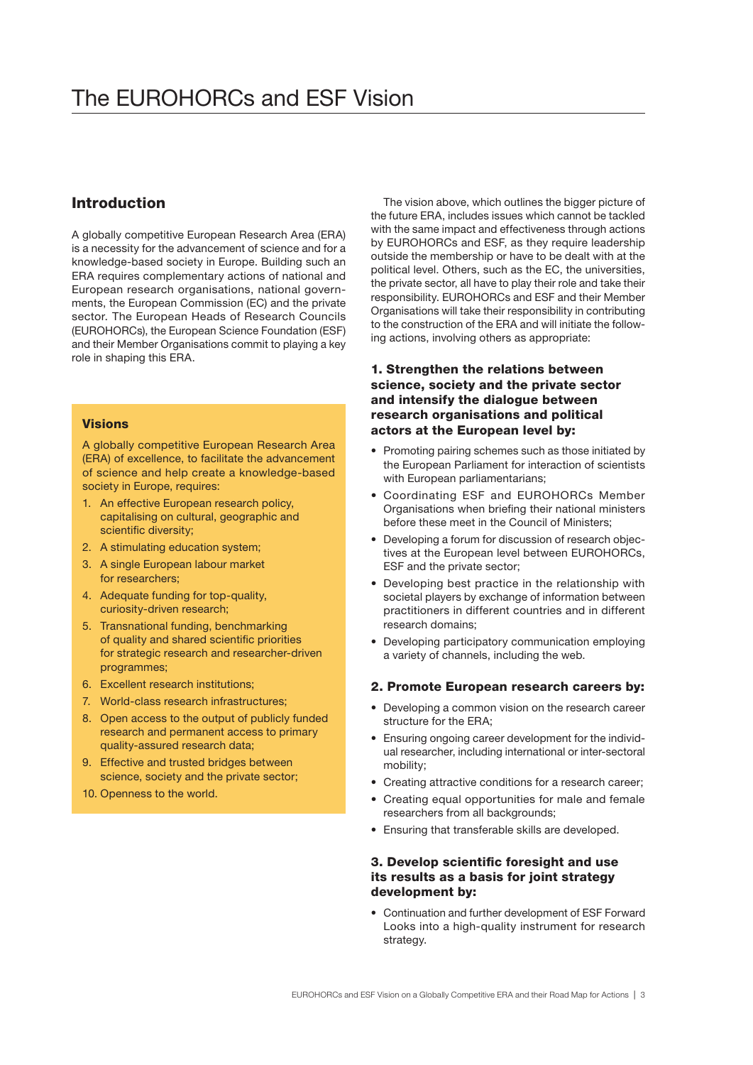### **Introduction**

A globally competitive European Research Area (ERA) is a necessity for the advancement of science and for a knowledge-based society in Europe. Building such an ERA requires complementary actions of national and European research organisations, national governments, the European Commission (EC) and the private sector. The European Heads of Research Councils (EUROHORCs), the European Science Foundation (ESF) and their Member Organisations commit to playing a key role in shaping this ERA.

### Visions

A globally competitive European Research Area (ERA) of excellence, to facilitate the advancement of science and help create a knowledge-based society in Europe, requires:

- 1. An effective European research policy, capitalising on cultural, geographic and scientific diversity;
- 2. A stimulating education system;
- 3. A single European labour market for researchers;
- 4. Adequate funding for top-quality, curiosity-driven research;
- 5. Transnational funding, benchmarking of quality and shared scientific priorities for strategic research and researcher-driven programmes;
- 6. Excellent research institutions;
- 7. World-class research infrastructures;
- 8. Open access to the output of publicly funded research and permanent access to primary quality-assured research data;
- 9. Effective and trusted bridges between science, society and the private sector;
- 10. Openness to the world.

The vision above, which outlines the bigger picture of the future ERA, includes issues which cannot be tackled with the same impact and effectiveness through actions by EUROHORCs and ESF, as they require leadership outside the membership or have to be dealt with at the political level. Others, such as the EC, the universities, the private sector, all have to play their role and take their responsibility. EUROHORCs and ESF and their Member Organisations will take their responsibility in contributing to the construction of the ERA and will initiate the following actions, involving others as appropriate:

### 1. Strengthen the relations between science, society and the private sector and intensify the dialogue between research organisations and political actors at the European level by:

- Promoting pairing schemes such as those initiated by the European Parliament for interaction of scientists with European parliamentarians;
- Coordinating ESF and EUROHORCs Member Organisations when briefing their national ministers before these meet in the Council of Ministers;
- Developing a forum for discussion of research objectives at the European level between EUROHORCs, ESF and the private sector;
- • Developing best practice in the relationship with societal players by exchange of information between practitioners in different countries and in different research domains;
- Developing participatory communication employing a variety of channels, including the web.

#### 2. Promote European research careers by:

- Developing a common vision on the research career structure for the ERA;
- Ensuring ongoing career development for the individual researcher, including international or inter-sectoral mobility;
- Creating attractive conditions for a research career;
- Creating equal opportunities for male and female researchers from all backgrounds:
- Ensuring that transferable skills are developed.

### 3. Develop scientific foresight and use its results as a basis for joint strategy development by:

• Continuation and further development of ESF Forward Looks into a high-quality instrument for research strategy.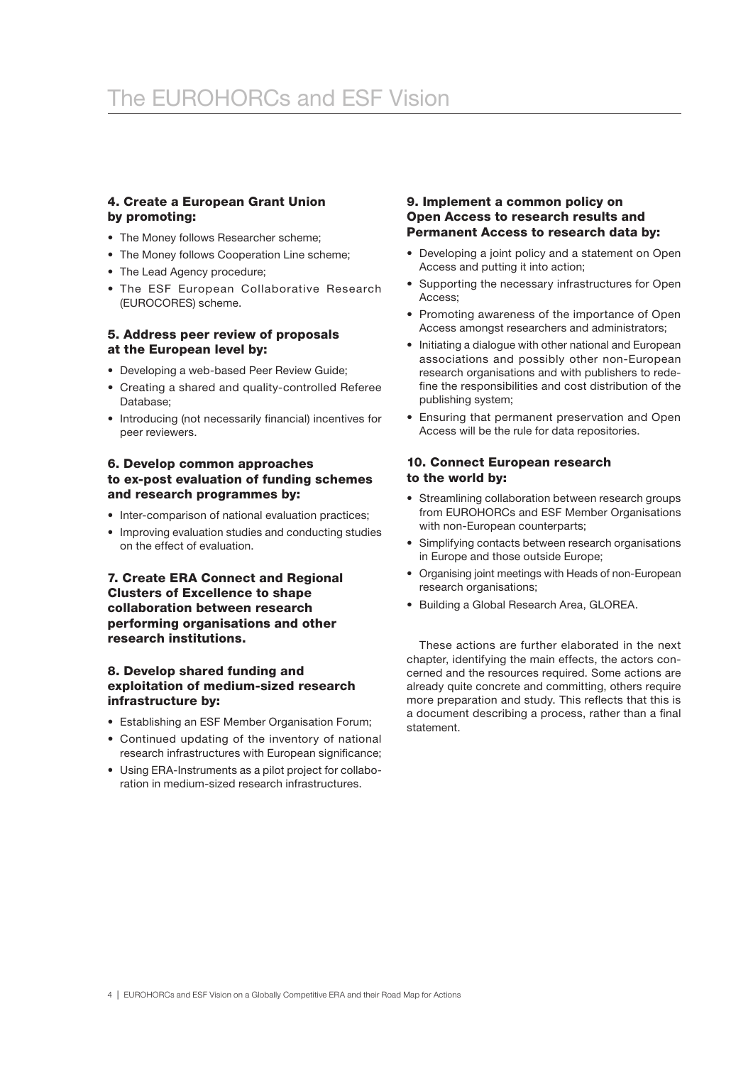# The EUROHORCs and ESF Vision

### 4. Create a European Grant Union by promoting:

- The Money follows Researcher scheme;
- The Money follows Cooperation Line scheme;
- The Lead Agency procedure;
- The ESF European Collaborative Research (EUROCORES) scheme.

### 5. Address peer review of proposals at the European level by:

- Developing a web-based Peer Review Guide;
- Creating a shared and quality-controlled Referee Database;
- Introducing (not necessarily financial) incentives for peer reviewers.

### 6. Develop common approaches to ex-post evaluation of funding schemes and research programmes by:

- Inter-comparison of national evaluation practices;
- Improving evaluation studies and conducting studies on the effect of evaluation.

### 7. Create ERA Connect and Regional Clusters of Excellence to shape collaboration between research performing organisations and other research institutions.

### 8. Develop shared funding and exploitation of medium-sized research infrastructure by:

- Establishing an ESF Member Organisation Forum;
- Continued updating of the inventory of national research infrastructures with European significance;
- Using ERA-Instruments as a pilot project for collaboration in medium-sized research infrastructures.

### 9. Implement a common policy on Open Access to research results and Permanent Access to research data by:

- Developing a joint policy and a statement on Open Access and putting it into action;
- Supporting the necessary infrastructures for Open Access;
- Promoting awareness of the importance of Open Access amongst researchers and administrators;
- Initiating a dialogue with other national and European associations and possibly other non-European research organisations and with publishers to redefine the responsibilities and cost distribution of the publishing system;
- Ensuring that permanent preservation and Open Access will be the rule for data repositories.

### 10. Connect European research to the world by:

- Streamlining collaboration between research groups from EUROHORCs and ESF Member Organisations with non-European counterparts;
- Simplifying contacts between research organisations in Europe and those outside Europe;
- Organising joint meetings with Heads of non-European research organisations;
- Building a Global Research Area, GLOREA.

These actions are further elaborated in the next chapter, identifying the main effects, the actors concerned and the resources required. Some actions are already quite concrete and committing, others require more preparation and study. This reflects that this is a document describing a process, rather than a final statement.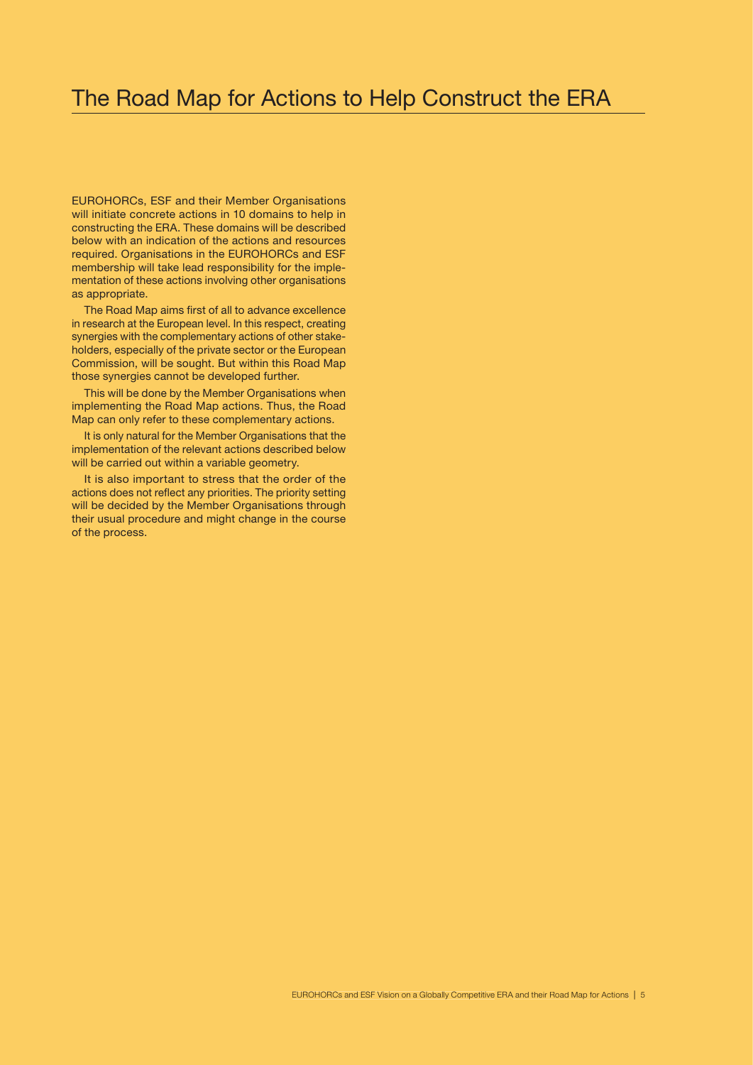# The Road Map for Actions to Help Construct the ERA

EUROHORCs, ESF and their Member Organisations will initiate concrete actions in 10 domains to help in constructing the ERA. These domains will be described below with an indication of the actions and resources required. Organisations in the EUROHORCs and ESF membership will take lead responsibility for the implementation of these actions involving other organisations as appropriate.

The Road Map aims first of all to advance excellence in research at the European level. In this respect, creating synergies with the complementary actions of other stakeholders, especially of the private sector or the European Commission, will be sought. But within this Road Map those synergies cannot be developed further.

This will be done by the Member Organisations when implementing the Road Map actions. Thus, the Road Map can only refer to these complementary actions.

It is only natural for the Member Organisations that the implementation of the relevant actions described below will be carried out within a variable geometry.

It is also important to stress that the order of the actions does not reflect any priorities. The priority setting will be decided by the Member Organisations through their usual procedure and might change in the course of the process.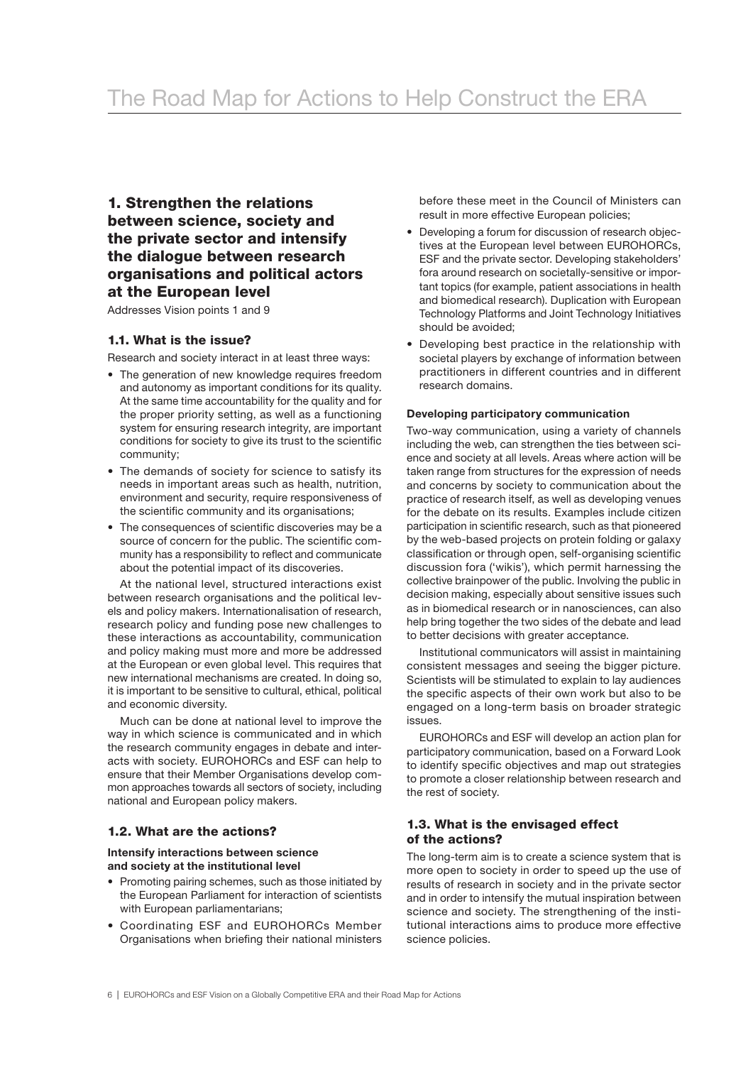1. Strengthen the relations between science, society and the private sector and intensify the dialogue between research organisations and political actors at the European level

Addresses Vision points 1 and 9

### 1.1. What is the issue?

Research and society interact in at least three ways:

- The generation of new knowledge requires freedom and autonomy as important conditions for its quality. At the same time accountability for the quality and for the proper priority setting, as well as a functioning system for ensuring research integrity, are important conditions for society to give its trust to the scientific community;
- The demands of society for science to satisfy its needs in important areas such as health, nutrition, environment and security, require responsiveness of the scientific community and its organisations;
- The consequences of scientific discoveries may be a source of concern for the public. The scientific community has a responsibility to reflect and communicate about the potential impact of its discoveries.

At the national level, structured interactions exist between research organisations and the political levels and policy makers. Internationalisation of research, research policy and funding pose new challenges to these interactions as accountability, communication and policy making must more and more be addressed at the European or even global level. This requires that new international mechanisms are created. In doing so, it is important to be sensitive to cultural, ethical, political and economic diversity.

Much can be done at national level to improve the way in which science is communicated and in which the research community engages in debate and interacts with society. EUROHORCs and ESF can help to ensure that their Member Organisations develop common approaches towards all sectors of society, including national and European policy makers.

### 1.2. What are the actions?

#### Intensify interactions between science and society at the institutional level

- Promoting pairing schemes, such as those initiated by the European Parliament for interaction of scientists with European parliamentarians:
- • Coordinating ESF and EUROHORCs Member Organisations when briefing their national ministers

before these meet in the Council of Ministers can result in more effective European policies;

- Developing a forum for discussion of research objectives at the European level between EUROHORCs, ESF and the private sector. Developing stakeholders' fora around research on societally-sensitive or important topics (for example, patient associations in health and biomedical research). Duplication with European Technology Platforms and Joint Technology Initiatives should be avoided;
- Developing best practice in the relationship with societal players by exchange of information between practitioners in different countries and in different research domains.

#### Developing participatory communication

Two-way communication, using a variety of channels including the web, can strengthen the ties between science and society at all levels. Areas where action will be taken range from structures for the expression of needs and concerns by society to communication about the practice of research itself, as well as developing venues for the debate on its results. Examples include citizen participation in scientific research, such as that pioneered by the web-based projects on protein folding or galaxy classification or through open, self-organising scientific discussion fora ('wikis'), which permit harnessing the collective brainpower of the public. Involving the public in decision making, especially about sensitive issues such as in biomedical research or in nanosciences, can also help bring together the two sides of the debate and lead to better decisions with greater acceptance.

Institutional communicators will assist in maintaining consistent messages and seeing the bigger picture. Scientists will be stimulated to explain to lay audiences the specific aspects of their own work but also to be engaged on a long-term basis on broader strategic issues.

EUROHORCs and ESF will develop an action plan for participatory communication, based on a Forward Look to identify specific objectives and map out strategies to promote a closer relationship between research and the rest of society.

### 1.3. What is the envisaged effect of the actions?

The long-term aim is to create a science system that is more open to society in order to speed up the use of results of research in society and in the private sector and in order to intensify the mutual inspiration between science and society. The strengthening of the institutional interactions aims to produce more effective science policies.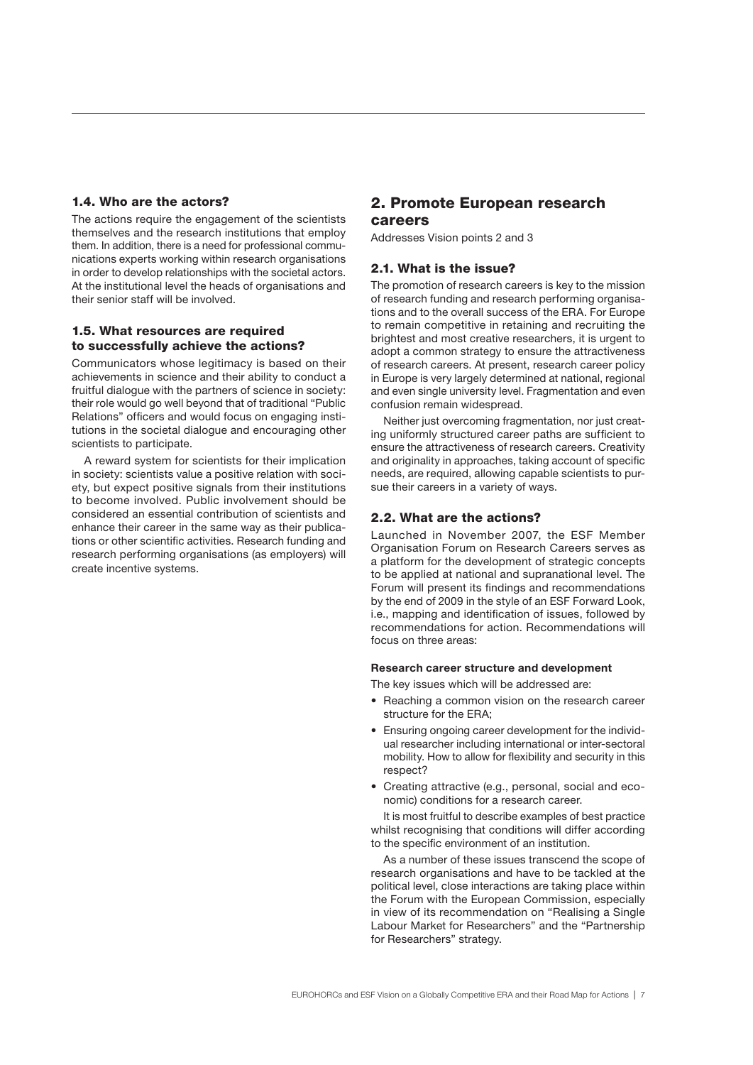### 1.4. Who are the actors?

The actions require the engagement of the scientists themselves and the research institutions that employ them. In addition, there is a need for professional communications experts working within research organisations in order to develop relationships with the societal actors. At the institutional level the heads of organisations and their senior staff will be involved.

### 1.5. What resources are required to successfully achieve the actions?

Communicators whose legitimacy is based on their achievements in science and their ability to conduct a fruitful dialogue with the partners of science in society: their role would go well beyond that of traditional "Public Relations" officers and would focus on engaging institutions in the societal dialogue and encouraging other scientists to participate.

A reward system for scientists for their implication in society: scientists value a positive relation with society, but expect positive signals from their institutions to become involved. Public involvement should be considered an essential contribution of scientists and enhance their career in the same way as their publications or other scientific activities. Research funding and research performing organisations (as employers) will create incentive systems.

### 2. Promote European research careers

Addresses Vision points 2 and 3

### 2.1. What is the issue?

The promotion of research careers is key to the mission of research funding and research performing organisations and to the overall success of the ERA. For Europe to remain competitive in retaining and recruiting the brightest and most creative researchers, it is urgent to adopt a common strategy to ensure the attractiveness of research careers. At present, research career policy in Europe is very largely determined at national, regional and even single university level. Fragmentation and even confusion remain widespread.

Neither just overcoming fragmentation, nor just creating uniformly structured career paths are sufficient to ensure the attractiveness of research careers. Creativity and originality in approaches, taking account of specific needs, are required, allowing capable scientists to pursue their careers in a variety of ways.

### 2.2. What are the actions?

Launched in November 2007, the ESF Member Organisation Forum on Research Careers serves as a platform for the development of strategic concepts to be applied at national and supranational level. The Forum will present its findings and recommendations by the end of 2009 in the style of an ESF Forward Look, i.e., mapping and identification of issues, followed by recommendations for action. Recommendations will focus on three areas:

#### Research career structure and development

The key issues which will be addressed are:

- Reaching a common vision on the research career structure for the ERA:
- Ensuring ongoing career development for the individual researcher including international or inter-sectoral mobility. How to allow for flexibility and security in this respect?
- Creating attractive (e.g., personal, social and economic) conditions for a research career.

It is most fruitful to describe examples of best practice whilst recognising that conditions will differ according to the specific environment of an institution.

As a number of these issues transcend the scope of research organisations and have to be tackled at the political level, close interactions are taking place within the Forum with the European Commission, especially in view of its recommendation on "Realising a Single Labour Market for Researchers" and the "Partnership for Researchers" strategy.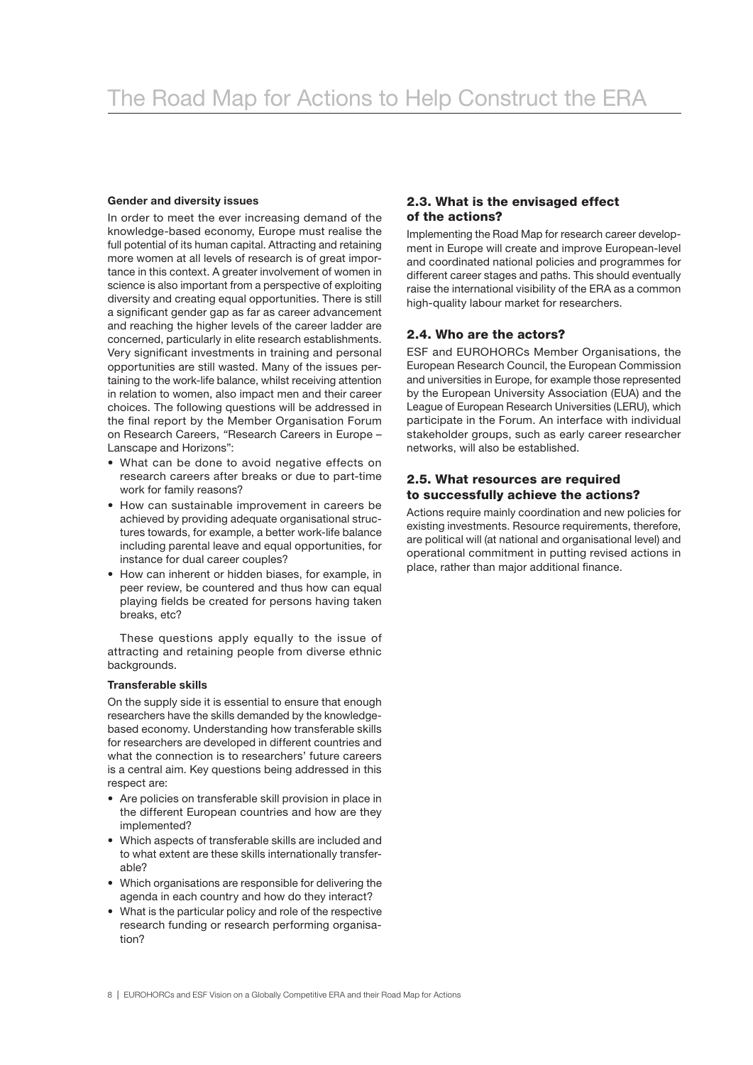#### Gender and diversity issues

In order to meet the ever increasing demand of the knowledge-based economy, Europe must realise the full potential of its human capital. Attracting and retaining more women at all levels of research is of great importance in this context. A greater involvement of women in science is also important from a perspective of exploiting diversity and creating equal opportunities. There is still a significant gender gap as far as career advancement and reaching the higher levels of the career ladder are concerned, particularly in elite research establishments. Very significant investments in training and personal opportunities are still wasted. Many of the issues pertaining to the work-life balance, whilst receiving attention in relation to women, also impact men and their career choices. The following questions will be addressed in the final report by the Member Organisation Forum on Research Careers, *"*Research Careers in Europe – Lanscape and Horizons":

- What can be done to avoid negative effects on research careers after breaks or due to part-time work for family reasons?
- How can sustainable improvement in careers be achieved by providing adequate organisational structures towards, for example, a better work-life balance including parental leave and equal opportunities, for instance for dual career couples?
- How can inherent or hidden biases, for example, in peer review, be countered and thus how can equal playing fields be created for persons having taken breaks, etc?

These questions apply equally to the issue of attracting and retaining people from diverse ethnic backgrounds.

#### Transferable skills

On the supply side it is essential to ensure that enough researchers have the skills demanded by the knowledgebased economy. Understanding how transferable skills for researchers are developed in different countries and what the connection is to researchers' future careers is a central aim. Key questions being addressed in this respect are:

- Are policies on transferable skill provision in place in the different European countries and how are they implemented?
- • Which aspects of transferable skills are included and to what extent are these skills internationally transferable?
- Which organisations are responsible for delivering the agenda in each country and how do they interact?
- What is the particular policy and role of the respective research funding or research performing organisation?

### 2.3. What is the envisaged effect of the actions?

Implementing the Road Map for research career development in Europe will create and improve European-level and coordinated national policies and programmes for different career stages and paths. This should eventually raise the international visibility of the ERA as a common high-quality labour market for researchers.

### 2.4. Who are the actors?

ESF and EUROHORCs Member Organisations, the European Research Council, the European Commission and universities in Europe, for example those represented by the European University Association (EUA) and the League of European Research Universities (LERU), which participate in the Forum. An interface with individual stakeholder groups, such as early career researcher networks, will also be established.

### 2.5. What resources are required to successfully achieve the actions?

Actions require mainly coordination and new policies for existing investments. Resource requirements, therefore, are political will (at national and organisational level) and operational commitment in putting revised actions in place, rather than major additional finance.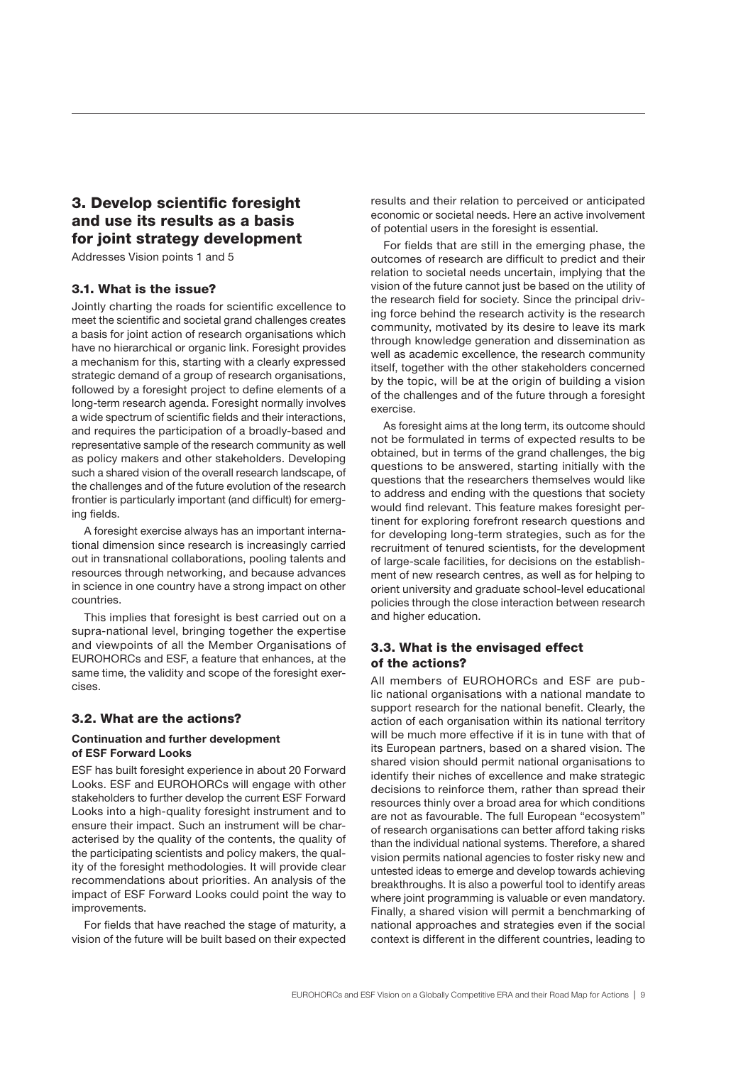### 3. Develop scientific foresight and use its results as a basis for joint strategy development

Addresses Vision points 1 and 5

### 3.1. What is the issue?

Jointly charting the roads for scientific excellence to meet the scientific and societal grand challenges creates a basis for joint action of research organisations which have no hierarchical or organic link. Foresight provides a mechanism for this, starting with a clearly expressed strategic demand of a group of research organisations, followed by a foresight project to define elements of a long-term research agenda. Foresight normally involves a wide spectrum of scientific fields and their interactions, and requires the participation of a broadly-based and representative sample of the research community as well as policy makers and other stakeholders. Developing such a shared vision of the overall research landscape, of the challenges and of the future evolution of the research frontier is particularly important (and difficult) for emerging fields.

A foresight exercise always has an important international dimension since research is increasingly carried out in transnational collaborations, pooling talents and resources through networking, and because advances in science in one country have a strong impact on other countries.

This implies that foresight is best carried out on a supra-national level, bringing together the expertise and viewpoints of all the Member Organisations of EUROHORCs and ESF, a feature that enhances, at the same time, the validity and scope of the foresight exercises.

### 3.2. What are the actions?

### Continuation and further development of ESF Forward Looks

ESF has built foresight experience in about 20 Forward Looks. ESF and EUROHORCs will engage with other stakeholders to further develop the current ESF Forward Looks into a high-quality foresight instrument and to ensure their impact. Such an instrument will be characterised by the quality of the contents, the quality of the participating scientists and policy makers, the quality of the foresight methodologies. It will provide clear recommendations about priorities. An analysis of the impact of ESF Forward Looks could point the way to improvements.

For fields that have reached the stage of maturity, a vision of the future will be built based on their expected results and their relation to perceived or anticipated economic or societal needs. Here an active involvement of potential users in the foresight is essential.

For fields that are still in the emerging phase, the outcomes of research are difficult to predict and their relation to societal needs uncertain, implying that the vision of the future cannot just be based on the utility of the research field for society. Since the principal driving force behind the research activity is the research community, motivated by its desire to leave its mark through knowledge generation and dissemination as well as academic excellence, the research community itself, together with the other stakeholders concerned by the topic, will be at the origin of building a vision of the challenges and of the future through a foresight exercise.

As foresight aims at the long term, its outcome should not be formulated in terms of expected results to be obtained, but in terms of the grand challenges, the big questions to be answered, starting initially with the questions that the researchers themselves would like to address and ending with the questions that society would find relevant. This feature makes foresight pertinent for exploring forefront research questions and for developing long-term strategies, such as for the recruitment of tenured scientists, for the development of large-scale facilities, for decisions on the establishment of new research centres, as well as for helping to orient university and graduate school-level educational policies through the close interaction between research and higher education.

### 3.3. What is the envisaged effect of the actions?

All members of EUROHORCs and ESF are public national organisations with a national mandate to support research for the national benefit. Clearly, the action of each organisation within its national territory will be much more effective if it is in tune with that of its European partners, based on a shared vision. The shared vision should permit national organisations to identify their niches of excellence and make strategic decisions to reinforce them, rather than spread their resources thinly over a broad area for which conditions are not as favourable. The full European "ecosystem" of research organisations can better afford taking risks than the individual national systems. Therefore, a shared vision permits national agencies to foster risky new and untested ideas to emerge and develop towards achieving breakthroughs. It is also a powerful tool to identify areas where joint programming is valuable or even mandatory. Finally, a shared vision will permit a benchmarking of national approaches and strategies even if the social context is different in the different countries, leading to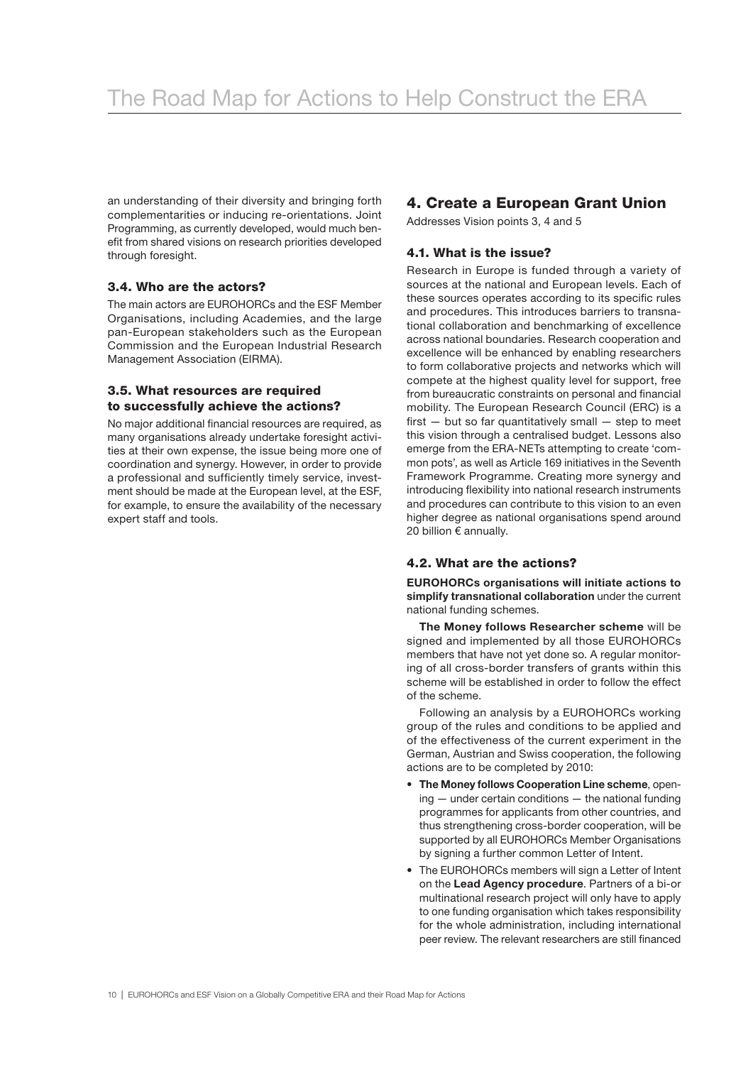an understanding of their diversity and bringing forth complementarities or inducing re-orientations. Joint Programming, as currently developed, would much benefit from shared visions on research priorities developed through foresight.

### 3.4. Who are the actors?

The main actors are EUROHORCs and the ESF Member Organisations, including Academies, and the large pan-European stakeholders such as the European Commission and the European Industrial Research Management Association (EIRMA).

### 3.5. What resources are required to successfully achieve the actions?

No major additional financial resources are required, as many organisations already undertake foresight activities at their own expense, the issue being more one of coordination and synergy. However, in order to provide a professional and sufficiently timely service, investment should be made at the European level, at the ESF, for example, to ensure the availability of the necessary expert staff and tools.

### 4. Create a European Grant Union

Addresses Vision points 3, 4 and 5

### 4.1. What is the issue?

Research in Europe is funded through a variety of sources at the national and European levels. Each of these sources operates according to its specific rules and procedures. This introduces barriers to transnational collaboration and benchmarking of excellence across national boundaries. Research cooperation and excellence will be enhanced by enabling researchers to form collaborative projects and networks which will compete at the highest quality level for support, free from bureaucratic constraints on personal and financial mobility. The European Research Council (ERC) is a  $first - but so far quantitatively small - step to meet$ this vision through a centralised budget. Lessons also emerge from the ERA-NETs attempting to create 'common pots', as well as Article 169 initiatives in the Seventh Framework Programme. Creating more synergy and introducing flexibility into national research instruments and procedures can contribute to this vision to an even higher degree as national organisations spend around 20 billion € annually.

### 4.2. What are the actions?

EUROHORCs organisations will initiate actions to simplify transnational collaboration under the current national funding schemes.

The Money follows Researcher scheme will be signed and implemented by all those EUROHORCs members that have not yet done so. A regular monitoring of all cross-border transfers of grants within this scheme will be established in order to follow the effect of the scheme.

Following an analysis by a EUROHORCs working group of the rules and conditions to be applied and of the effectiveness of the current experiment in the German, Austrian and Swiss cooperation, the following actions are to be completed by 2010:

- The Money follows Cooperation Line scheme, opening — under certain conditions — the national funding programmes for applicants from other countries, and thus strengthening cross-border cooperation, will be supported by all EUROHORCs Member Organisations by signing a further common Letter of Intent.
- The EUROHORCs members will sign a Letter of Intent on the Lead Agency procedure. Partners of a bi-or multinational research project will only have to apply to one funding organisation which takes responsibility for the whole administration, including international peer review. The relevant researchers are still financed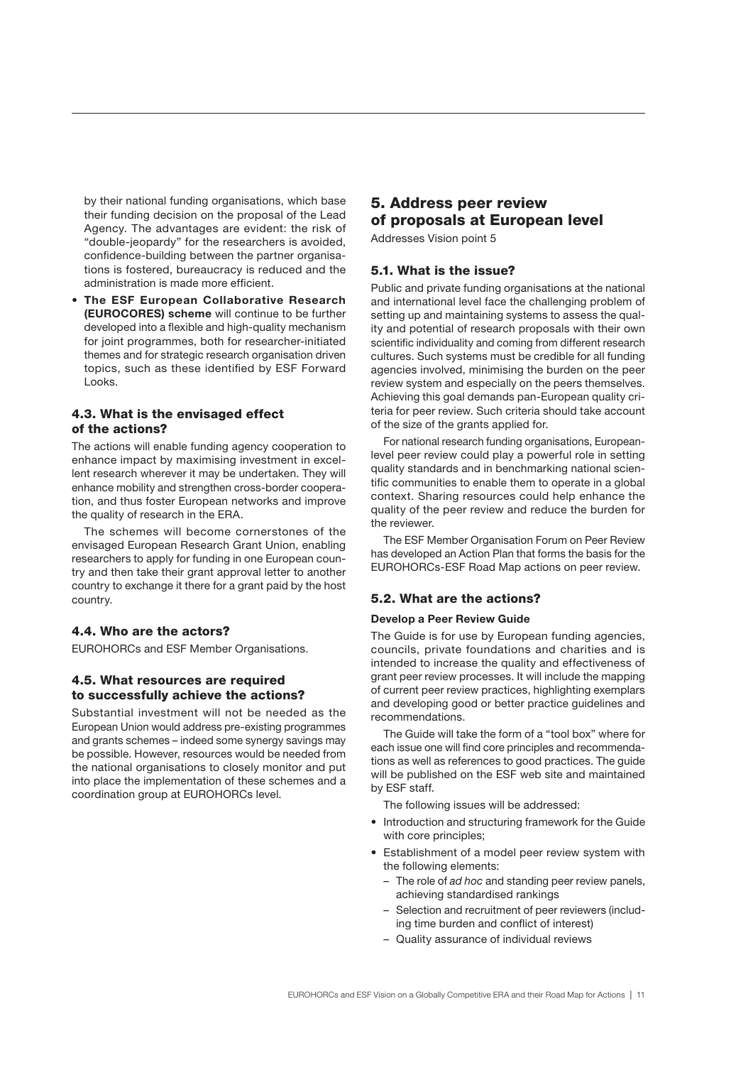by their national funding organisations, which base their funding decision on the proposal of the Lead Agency. The advantages are evident: the risk of "double-jeopardy" for the researchers is avoided, confidence-building between the partner organisations is fostered, bureaucracy is reduced and the administration is made more efficient.

• The ESF European Collaborative Research (EUROCORES) scheme will continue to be further developed into a flexible and high-quality mechanism for joint programmes, both for researcher-initiated themes and for strategic research organisation driven topics, such as these identified by ESF Forward Looks.

### 4.3. What is the envisaged effect of the actions?

The actions will enable funding agency cooperation to enhance impact by maximising investment in excellent research wherever it may be undertaken. They will enhance mobility and strengthen cross-border cooperation, and thus foster European networks and improve the quality of research in the ERA.

The schemes will become cornerstones of the envisaged European Research Grant Union, enabling researchers to apply for funding in one European country and then take their grant approval letter to another country to exchange it there for a grant paid by the host country.

### 4.4. Who are the actors?

EUROHORCs and ESF Member Organisations.

### 4.5. What resources are required to successfully achieve the actions?

Substantial investment will not be needed as the European Union would address pre-existing programmes and grants schemes – indeed some synergy savings may be possible. However, resources would be needed from the national organisations to closely monitor and put into place the implementation of these schemes and a coordination group at EUROHORCs level.

### 5. Address peer review of proposals at European level

Addresses Vision point 5

### 5.1. What is the issue?

Public and private funding organisations at the national and international level face the challenging problem of setting up and maintaining systems to assess the quality and potential of research proposals with their own scientific individuality and coming from different research cultures. Such systems must be credible for all funding agencies involved, minimising the burden on the peer review system and especially on the peers themselves. Achieving this goal demands pan-European quality criteria for peer review. Such criteria should take account of the size of the grants applied for.

For national research funding organisations, Europeanlevel peer review could play a powerful role in setting quality standards and in benchmarking national scientific communities to enable them to operate in a global context. Sharing resources could help enhance the quality of the peer review and reduce the burden for the reviewer.

The ESF Member Organisation Forum on Peer Review has developed an Action Plan that forms the basis for the EUROHORCs-ESF Road Map actions on peer review.

### 5.2. What are the actions?

### Develop a Peer Review Guide

The Guide is for use by European funding agencies, councils, private foundations and charities and is intended to increase the quality and effectiveness of grant peer review processes. It will include the mapping of current peer review practices, highlighting exemplars and developing good or better practice guidelines and recommendations.

The Guide will take the form of a "tool box" where for each issue one will find core principles and recommendations as well as references to good practices. The guide will be published on the ESF web site and maintained by ESF staff.

The following issues will be addressed:

- • Introduction and structuring framework for the Guide with core principles;
- Establishment of a model peer review system with the following elements:
	- The role of *ad hoc* and standing peer review panels, achieving standardised rankings
	- Selection and recruitment of peer reviewers (including time burden and conflict of interest)
	- Quality assurance of individual reviews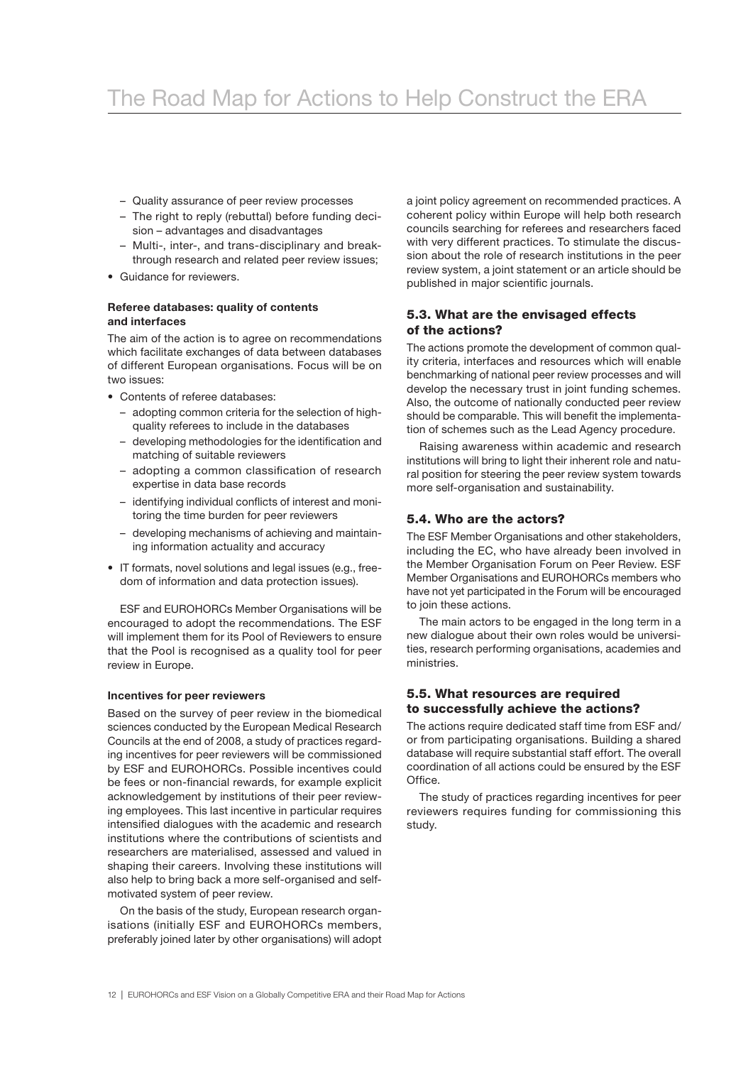- Quality assurance of peer review processes
- The right to reply (rebuttal) before funding decision – advantages and disadvantages
- Multi-, inter-, and trans-disciplinary and breakthrough research and related peer review issues;
- • Guidance for reviewers.

### Referee databases: quality of contents and interfaces

The aim of the action is to agree on recommendations which facilitate exchanges of data between databases of different European organisations. Focus will be on two issues:

- Contents of referee databases:
	- adopting common criteria for the selection of highquality referees to include in the databases
	- developing methodologies for the identification and matching of suitable reviewers
	- adopting a common classification of research expertise in data base records
	- identifying individual conflicts of interest and monitoring the time burden for peer reviewers
	- developing mechanisms of achieving and maintaining information actuality and accuracy
- IT formats, novel solutions and legal issues (e.g., freedom of information and data protection issues).

ESF and EUROHORCs Member Organisations will be encouraged to adopt the recommendations. The ESF will implement them for its Pool of Reviewers to ensure that the Pool is recognised as a quality tool for peer review in Europe.

### Incentives for peer reviewers

Based on the survey of peer review in the biomedical sciences conducted by the European Medical Research Councils at the end of 2008, a study of practices regarding incentives for peer reviewers will be commissioned by ESF and EUROHORCs. Possible incentives could be fees or non-financial rewards, for example explicit acknowledgement by institutions of their peer reviewing employees. This last incentive in particular requires intensified dialogues with the academic and research institutions where the contributions of scientists and researchers are materialised, assessed and valued in shaping their careers. Involving these institutions will also help to bring back a more self-organised and selfmotivated system of peer review.

On the basis of the study, European research organisations (initially ESF and EUROHORCs members, preferably joined later by other organisations) will adopt a joint policy agreement on recommended practices. A coherent policy within Europe will help both research councils searching for referees and researchers faced with very different practices. To stimulate the discussion about the role of research institutions in the peer review system, a joint statement or an article should be published in major scientific journals.

### 5.3. What are the envisaged effects of the actions?

The actions promote the development of common quality criteria, interfaces and resources which will enable benchmarking of national peer review processes and will develop the necessary trust in joint funding schemes. Also, the outcome of nationally conducted peer review should be comparable. This will benefit the implementation of schemes such as the Lead Agency procedure.

Raising awareness within academic and research institutions will bring to light their inherent role and natural position for steering the peer review system towards more self-organisation and sustainability.

### 5.4. Who are the actors?

The ESF Member Organisations and other stakeholders, including the EC, who have already been involved in the Member Organisation Forum on Peer Review. ESF Member Organisations and EUROHORCs members who have not yet participated in the Forum will be encouraged to join these actions.

The main actors to be engaged in the long term in a new dialogue about their own roles would be universities, research performing organisations, academies and ministries.

### 5.5. What resources are required to successfully achieve the actions?

The actions require dedicated staff time from ESF and/ or from participating organisations. Building a shared database will require substantial staff effort. The overall coordination of all actions could be ensured by the ESF Office.

The study of practices regarding incentives for peer reviewers requires funding for commissioning this study.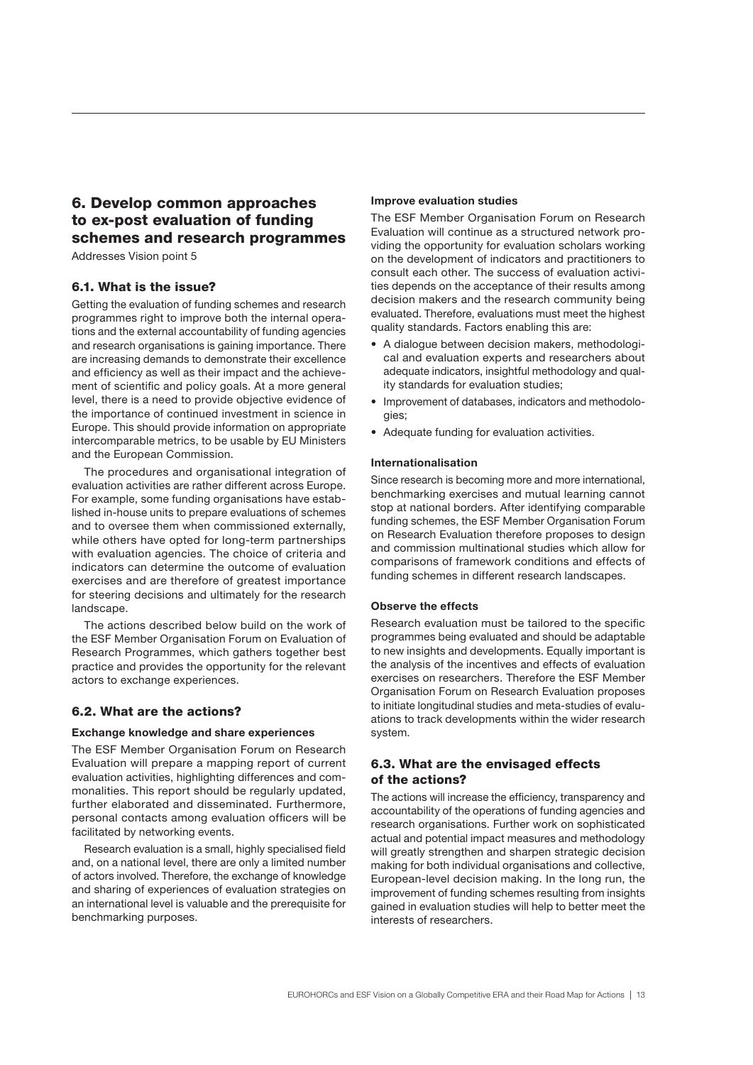### 6. Develop common approaches to ex-post evaluation of funding schemes and research programmes

Addresses Vision point 5

### 6.1. What is the issue?

Getting the evaluation of funding schemes and research programmes right to improve both the internal operations and the external accountability of funding agencies and research organisations is gaining importance. There are increasing demands to demonstrate their excellence and efficiency as well as their impact and the achievement of scientific and policy goals. At a more general level, there is a need to provide objective evidence of the importance of continued investment in science in Europe. This should provide information on appropriate intercomparable metrics, to be usable by EU Ministers and the European Commission.

The procedures and organisational integration of evaluation activities are rather different across Europe. For example, some funding organisations have established in-house units to prepare evaluations of schemes and to oversee them when commissioned externally, while others have opted for long-term partnerships with evaluation agencies. The choice of criteria and indicators can determine the outcome of evaluation exercises and are therefore of greatest importance for steering decisions and ultimately for the research landscape.

The actions described below build on the work of the ESF Member Organisation Forum on Evaluation of Research Programmes, which gathers together best practice and provides the opportunity for the relevant actors to exchange experiences.

### 6.2. What are the actions?

#### Exchange knowledge and share experiences

The ESF Member Organisation Forum on Research Evaluation will prepare a mapping report of current evaluation activities, highlighting differences and commonalities. This report should be regularly updated, further elaborated and disseminated. Furthermore, personal contacts among evaluation officers will be facilitated by networking events.

Research evaluation is a small, highly specialised field and, on a national level, there are only a limited number of actors involved. Therefore, the exchange of knowledge and sharing of experiences of evaluation strategies on an international level is valuable and the prerequisite for benchmarking purposes.

### Improve evaluation studies

The ESF Member Organisation Forum on Research Evaluation will continue as a structured network providing the opportunity for evaluation scholars working on the development of indicators and practitioners to consult each other. The success of evaluation activities depends on the acceptance of their results among decision makers and the research community being evaluated. Therefore, evaluations must meet the highest quality standards. Factors enabling this are:

- A dialogue between decision makers, methodological and evaluation experts and researchers about adequate indicators, insightful methodology and quality standards for evaluation studies;
- Improvement of databases, indicators and methodologies;
- Adequate funding for evaluation activities.

#### Internationalisation

Since research is becoming more and more international, benchmarking exercises and mutual learning cannot stop at national borders. After identifying comparable funding schemes, the ESF Member Organisation Forum on Research Evaluation therefore proposes to design and commission multinational studies which allow for comparisons of framework conditions and effects of funding schemes in different research landscapes.

#### Observe the effects

Research evaluation must be tailored to the specific programmes being evaluated and should be adaptable to new insights and developments. Equally important is the analysis of the incentives and effects of evaluation exercises on researchers. Therefore the ESF Member Organisation Forum on Research Evaluation proposes to initiate longitudinal studies and meta-studies of evaluations to track developments within the wider research system.

### 6.3. What are the envisaged effects of the actions?

The actions will increase the efficiency, transparency and accountability of the operations of funding agencies and research organisations. Further work on sophisticated actual and potential impact measures and methodology will greatly strengthen and sharpen strategic decision making for both individual organisations and collective, European-level decision making. In the long run, the improvement of funding schemes resulting from insights gained in evaluation studies will help to better meet the interests of researchers.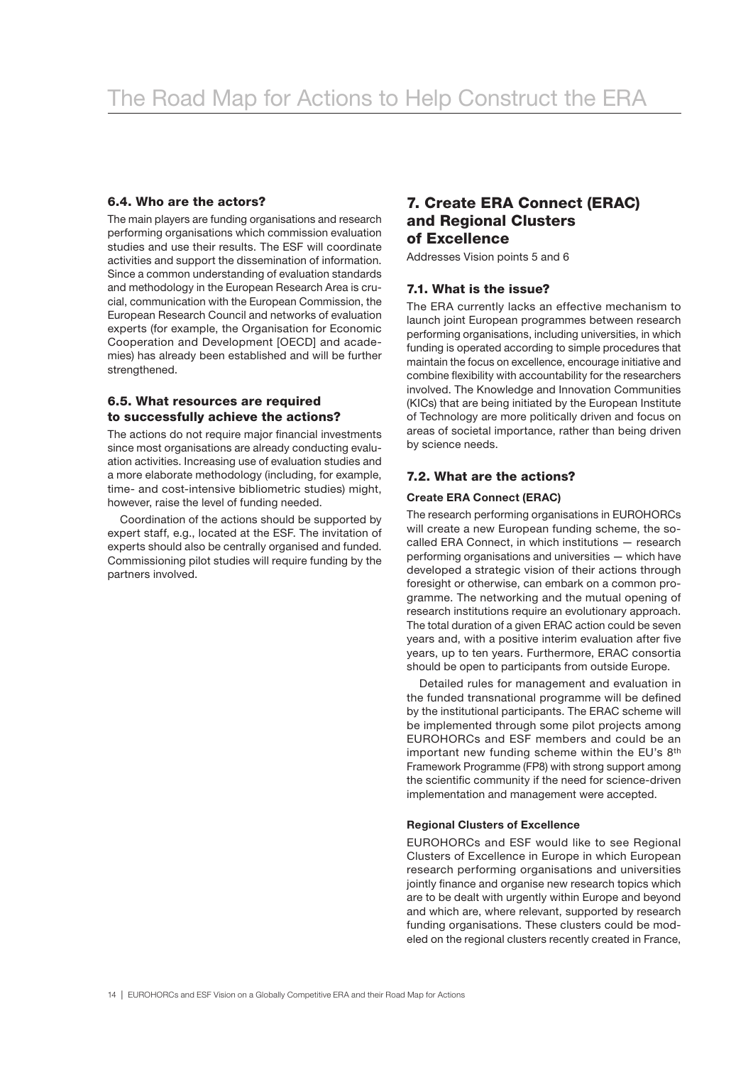### 6.4. Who are the actors?

The main players are funding organisations and research performing organisations which commission evaluation studies and use their results. The ESF will coordinate activities and support the dissemination of information. Since a common understanding of evaluation standards and methodology in the European Research Area is crucial, communication with the European Commission, the European Research Council and networks of evaluation experts (for example, the Organisation for Economic Cooperation and Development [OECD] and academies) has already been established and will be further strengthened.

### 6.5. What resources are required to successfully achieve the actions?

The actions do not require major financial investments since most organisations are already conducting evaluation activities. Increasing use of evaluation studies and a more elaborate methodology (including, for example, time- and cost-intensive bibliometric studies) might, however, raise the level of funding needed.

Coordination of the actions should be supported by expert staff, e.g., located at the ESF. The invitation of experts should also be centrally organised and funded. Commissioning pilot studies will require funding by the partners involved.

### 7. Create ERA Connect (ERAC) and Regional Clusters of Excellence

Addresses Vision points 5 and 6

### 7.1. What is the issue?

The ERA currently lacks an effective mechanism to launch joint European programmes between research performing organisations, including universities, in which funding is operated according to simple procedures that maintain the focus on excellence, encourage initiative and combine flexibility with accountability for the researchers involved. The Knowledge and Innovation Communities (KICs) that are being initiated by the European Institute of Technology are more politically driven and focus on areas of societal importance, rather than being driven by science needs.

### 7.2. What are the actions?

### Create ERA Connect (ERAC)

The research performing organisations in EUROHORCs will create a new European funding scheme, the socalled ERA Connect, in which institutions — research performing organisations and universities — which have developed a strategic vision of their actions through foresight or otherwise, can embark on a common programme. The networking and the mutual opening of research institutions require an evolutionary approach. The total duration of a given ERAC action could be seven years and, with a positive interim evaluation after five years, up to ten years. Furthermore, ERAC consortia should be open to participants from outside Europe.

Detailed rules for management and evaluation in the funded transnational programme will be defined by the institutional participants. The ERAC scheme will be implemented through some pilot projects among EUROHORCs and ESF members and could be an important new funding scheme within the EU's 8<sup>th</sup> Framework Programme (FP8) with strong support among the scientific community if the need for science-driven implementation and management were accepted.

### Regional Clusters of Excellence

EUROHORCs and ESF would like to see Regional Clusters of Excellence in Europe in which European research performing organisations and universities jointly finance and organise new research topics which are to be dealt with urgently within Europe and beyond and which are, where relevant, supported by research funding organisations. These clusters could be modeled on the regional clusters recently created in France,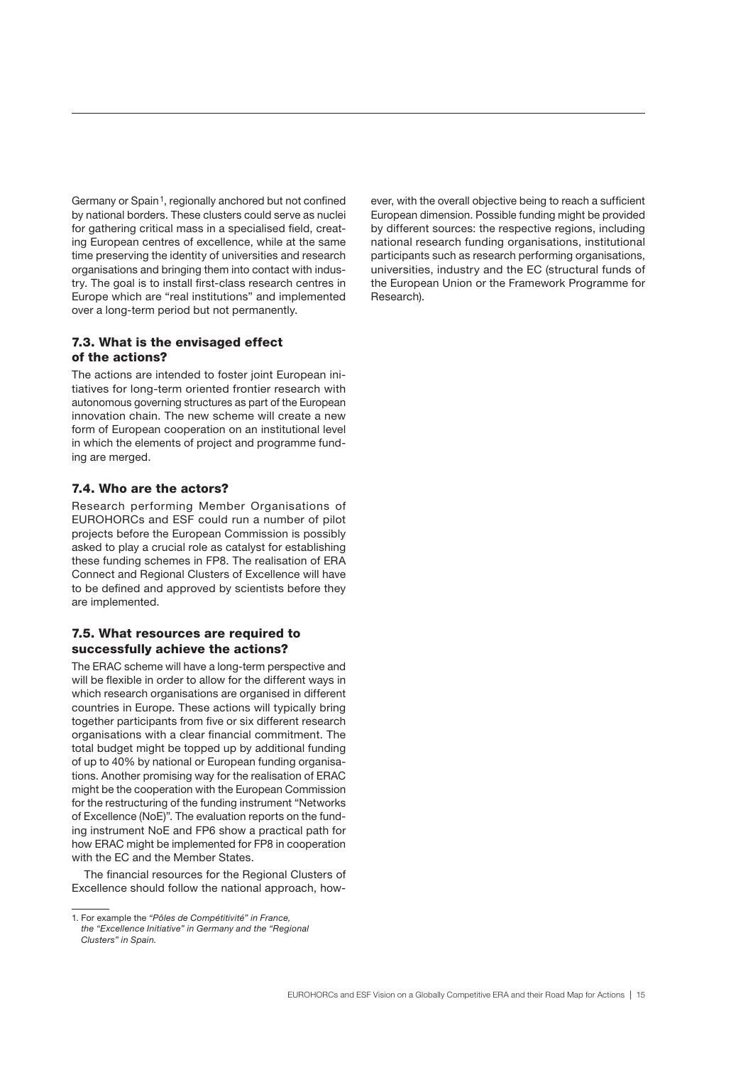Germany or Spain<sup>1</sup>, regionally anchored but not confined by national borders. These clusters could serve as nuclei for gathering critical mass in a specialised field, creating European centres of excellence, while at the same time preserving the identity of universities and research organisations and bringing them into contact with industry. The goal is to install first-class research centres in Europe which are "real institutions" and implemented over a long-term period but not permanently.

### ever, with the overall objective being to reach a sufficient European dimension. Possible funding might be provided by different sources: the respective regions, including national research funding organisations, institutional participants such as research performing organisations, universities, industry and the EC (structural funds of the European Union or the Framework Programme for Research).

### 7.3. What is the envisaged effect of the actions?

The actions are intended to foster joint European initiatives for long-term oriented frontier research with autonomous governing structures as part of the European innovation chain. The new scheme will create a new form of European cooperation on an institutional level in which the elements of project and programme funding are merged.

### 7.4. Who are the actors?

Research performing Member Organisations of EUROHORCs and ESF could run a number of pilot projects before the European Commission is possibly asked to play a crucial role as catalyst for establishing these funding schemes in FP8. The realisation of ERA Connect and Regional Clusters of Excellence will have to be defined and approved by scientists before they are implemented.

### 7.5. What resources are required to successfully achieve the actions?

The ERAC scheme will have a long-term perspective and will be flexible in order to allow for the different ways in which research organisations are organised in different countries in Europe. These actions will typically bring together participants from five or six different research organisations with a clear financial commitment. The total budget might be topped up by additional funding of up to 40% by national or European funding organisations. Another promising way for the realisation of ERAC might be the cooperation with the European Commission for the restructuring of the funding instrument "Networks of Excellence (NoE)". The evaluation reports on the funding instrument NoE and FP6 show a practical path for how ERAC might be implemented for FP8 in cooperation with the EC and the Member States.

The financial resources for the Regional Clusters of Excellence should follow the national approach, how-

1. For example the *"Pôles de Compétitivité" in France, the "Excellence Initiative" in Germany and the "Regional Clusters" in Spain.*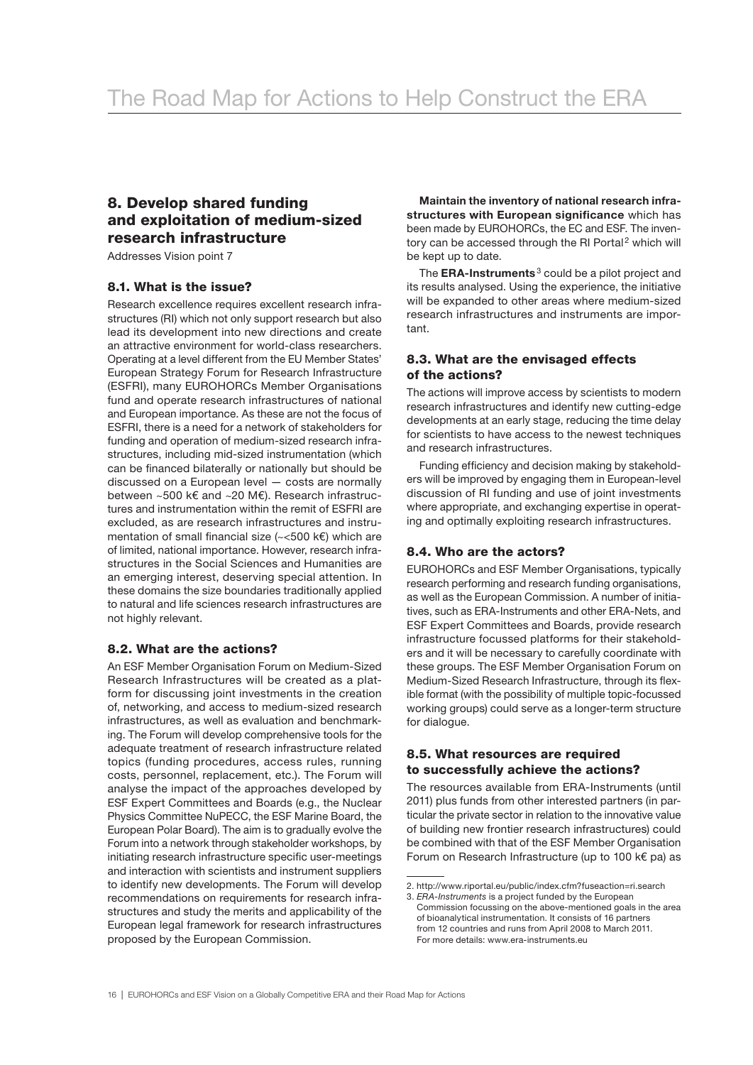### 8. Develop shared funding and exploitation of medium-sized research infrastructure

Addresses Vision point 7

### 8.1. What is the issue?

Research excellence requires excellent research infrastructures (RI) which not only support research but also lead its development into new directions and create an attractive environment for world-class researchers. Operating at a level different from the EU Member States' European Strategy Forum for Research Infrastructure (ESFRI), many EUROHORCs Member Organisations fund and operate research infrastructures of national and European importance. As these are not the focus of ESFRI, there is a need for a network of stakeholders for funding and operation of medium-sized research infrastructures, including mid-sized instrumentation (which can be financed bilaterally or nationally but should be discussed on a European level — costs are normally between ~500 k€ and ~20 M€). Research infrastructures and instrumentation within the remit of ESFRI are excluded, as are research infrastructures and instrumentation of small financial size (~<500 k€) which are of limited, national importance. However, research infrastructures in the Social Sciences and Humanities are an emerging interest, deserving special attention. In these domains the size boundaries traditionally applied to natural and life sciences research infrastructures are not highly relevant.

### 8.2. What are the actions?

An ESF Member Organisation Forum on Medium-Sized Research Infrastructures will be created as a platform for discussing joint investments in the creation of, networking, and access to medium-sized research infrastructures, as well as evaluation and benchmarking. The Forum will develop comprehensive tools for the adequate treatment of research infrastructure related topics (funding procedures, access rules, running costs, personnel, replacement, etc.). The Forum will analyse the impact of the approaches developed by ESF Expert Committees and Boards (e.g., the Nuclear Physics Committee NuPECC, the ESF Marine Board, the European Polar Board). The aim is to gradually evolve the Forum into a network through stakeholder workshops, by initiating research infrastructure specific user-meetings and interaction with scientists and instrument suppliers to identify new developments. The Forum will develop recommendations on requirements for research infrastructures and study the merits and applicability of the European legal framework for research infrastructures proposed by the European Commission.

Maintain the inventory of national research infrastructures with European significance which has been made by EUROHORCs, the EC and ESF. The inventory can be accessed through the RI Portal<sup>2</sup> which will be kept up to date.

The **ERA-Instruments**<sup>3</sup> could be a pilot project and its results analysed. Using the experience, the initiative will be expanded to other areas where medium-sized research infrastructures and instruments are important.

### 8.3. What are the envisaged effects of the actions?

The actions will improve access by scientists to modern research infrastructures and identify new cutting-edge developments at an early stage, reducing the time delay for scientists to have access to the newest techniques and research infrastructures.

Funding efficiency and decision making by stakeholders will be improved by engaging them in European-level discussion of RI funding and use of joint investments where appropriate, and exchanging expertise in operating and optimally exploiting research infrastructures.

### 8.4. Who are the actors?

EUROHORCs and ESF Member Organisations, typically research performing and research funding organisations, as well as the European Commission. A number of initiatives, such as ERA-Instruments and other ERA-Nets, and ESF Expert Committees and Boards, provide research infrastructure focussed platforms for their stakeholders and it will be necessary to carefully coordinate with these groups. The ESF Member Organisation Forum on Medium-Sized Research Infrastructure, through its flexible format (with the possibility of multiple topic-focussed working groups) could serve as a longer-term structure for dialogue.

### 8.5. What resources are required to successfully achieve the actions?

The resources available from ERA-Instruments (until 2011) plus funds from other interested partners (in particular the private sector in relation to the innovative value of building new frontier research infrastructures) could be combined with that of the ESF Member Organisation Forum on Research Infrastructure (up to 100 k€ pa) as

<sup>2.</sup> http://www.riportal.eu/public/index.cfm?fuseaction=ri.search

<sup>3.</sup> *ERA-Instruments* is a project funded by the European Commission focussing on the above-mentioned goals in the area of bioanalytical instrumentation. It consists of 16 partners from 12 countries and runs from April 2008 to March 2011. For more details: www.era-instruments.eu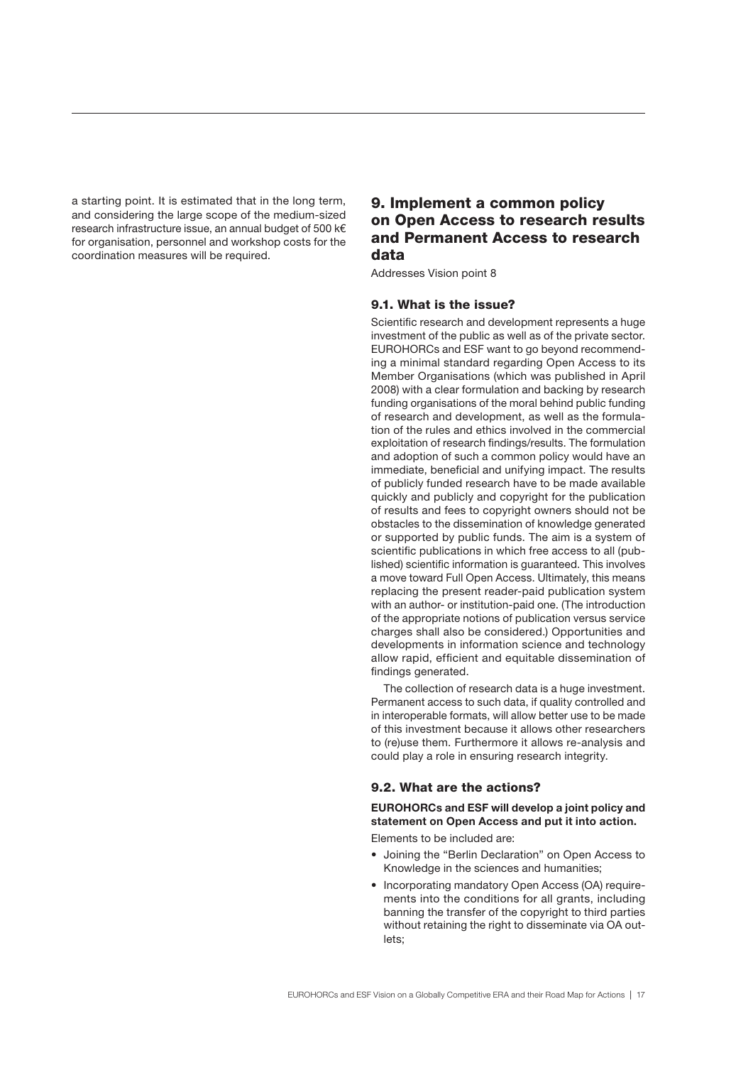a starting point. It is estimated that in the long term, and considering the large scope of the medium-sized research infrastructure issue, an annual budget of 500 k€ for organisation, personnel and workshop costs for the coordination measures will be required.

### 9. Implement a common policy on Open Access to research results and Permanent Access to research data

Addresses Vision point 8

#### 9.1. What is the issue?

Scientific research and development represents a huge investment of the public as well as of the private sector. EUROHORCs and ESF want to go beyond recommending a minimal standard regarding Open Access to its Member Organisations (which was published in April 2008) with a clear formulation and backing by research funding organisations of the moral behind public funding of research and development, as well as the formulation of the rules and ethics involved in the commercial exploitation of research findings/results. The formulation and adoption of such a common policy would have an immediate, beneficial and unifying impact. The results of publicly funded research have to be made available quickly and publicly and copyright for the publication of results and fees to copyright owners should not be obstacles to the dissemination of knowledge generated or supported by public funds. The aim is a system of scientific publications in which free access to all (published) scientific information is guaranteed. This involves a move toward Full Open Access. Ultimately, this means replacing the present reader-paid publication system with an author- or institution-paid one. (The introduction of the appropriate notions of publication versus service charges shall also be considered.) Opportunities and developments in information science and technology allow rapid, efficient and equitable dissemination of findings generated.

The collection of research data is a huge investment. Permanent access to such data, if quality controlled and in interoperable formats, will allow better use to be made of this investment because it allows other researchers to (re)use them. Furthermore it allows re-analysis and could play a role in ensuring research integrity.

### 9.2. What are the actions?

EUROHORCs and ESF will develop a joint policy and statement on Open Access and put it into action. Elements to be included are:

- • Joining the "Berlin Declaration" on Open Access to Knowledge in the sciences and humanities;
- Incorporating mandatory Open Access (OA) requirements into the conditions for all grants, including banning the transfer of the copyright to third parties without retaining the right to disseminate via OA outlets;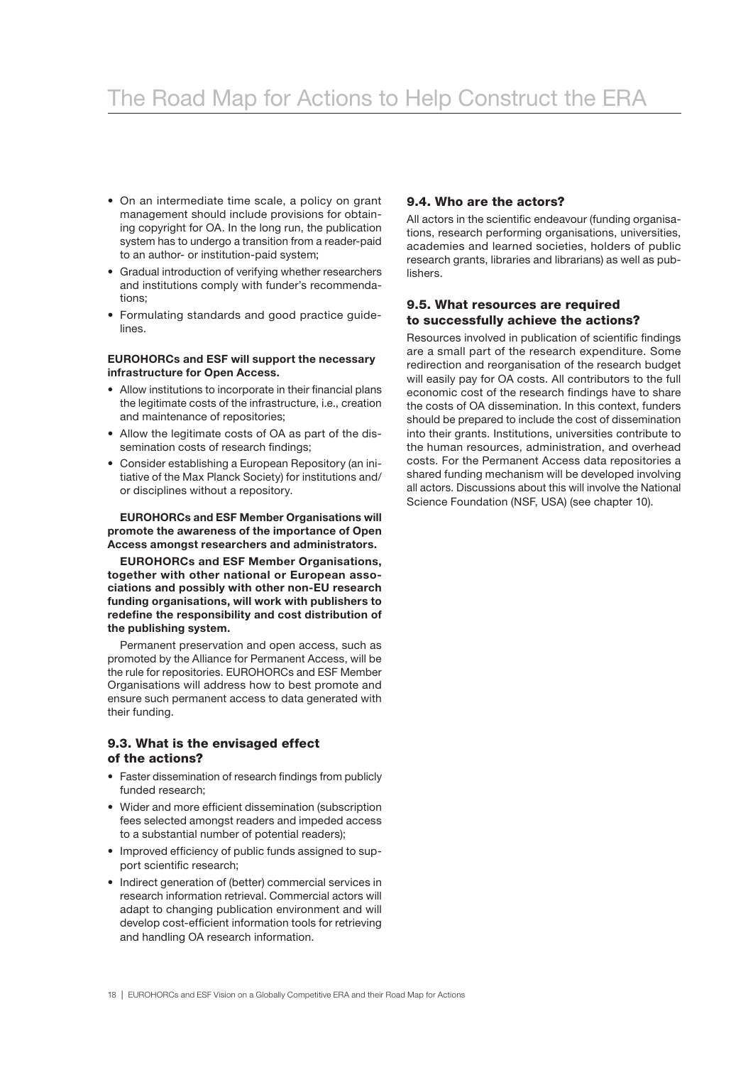- On an intermediate time scale, a policy on grant management should include provisions for obtaining copyright for OA. In the long run, the publication system has to undergo a transition from a reader-paid to an author- or institution-paid system;
- Gradual introduction of verifying whether researchers and institutions comply with funder's recommendations;
- Formulating standards and good practice guidelines.

#### EUROHORCs and ESF will support the necessary infrastructure for Open Access.

- Allow institutions to incorporate in their financial plans the legitimate costs of the infrastructure, i.e., creation and maintenance of repositories;
- Allow the legitimate costs of OA as part of the dissemination costs of research findings;
- Consider establishing a European Repository (an initiative of the Max Planck Society) for institutions and/ or disciplines without a repository.

EUROHORCs and ESF Member Organisations will promote the awareness of the importance of Open Access amongst researchers and administrators.

EUROHORCs and ESF Member Organisations, together with other national or European associations and possibly with other non-EU research funding organisations, will work with publishers to redefine the responsibility and cost distribution of the publishing system.

Permanent preservation and open access, such as promoted by the Alliance for Permanent Access, will be the rule for repositories. EUROHORCs and ESF Member Organisations will address how to best promote and ensure such permanent access to data generated with their funding.

### 9.3. What is the envisaged effect of the actions?

- Faster dissemination of research findings from publicly funded research;
- • Wider and more efficient dissemination (subscription fees selected amongst readers and impeded access to a substantial number of potential readers);
- Improved efficiency of public funds assigned to support scientific research;
- Indirect generation of (better) commercial services in research information retrieval. Commercial actors will adapt to changing publication environment and will develop cost-efficient information tools for retrieving and handling OA research information.

### 9.4. Who are the actors?

All actors in the scientific endeavour (funding organisations, research performing organisations, universities, academies and learned societies, holders of public research grants, libraries and librarians) as well as publishers.

### 9.5. What resources are required to successfully achieve the actions?

Resources involved in publication of scientific findings are a small part of the research expenditure. Some redirection and reorganisation of the research budget will easily pay for OA costs. All contributors to the full economic cost of the research findings have to share the costs of OA dissemination. In this context, funders should be prepared to include the cost of dissemination into their grants. Institutions, universities contribute to the human resources, administration, and overhead costs. For the Permanent Access data repositories a shared funding mechanism will be developed involving all actors. Discussions about this will involve the National Science Foundation (NSF, USA) (see chapter 10).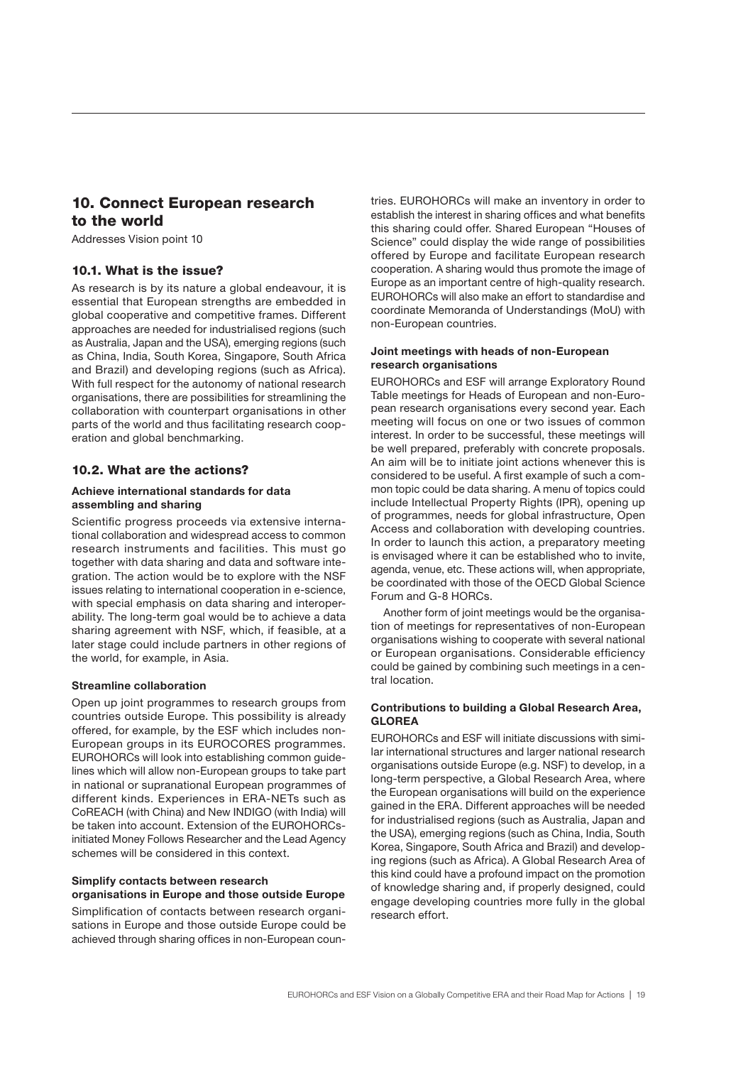### 10. Connect European research to the world

Addresses Vision point 10

### 10.1. What is the issue?

As research is by its nature a global endeavour, it is essential that European strengths are embedded in global cooperative and competitive frames. Different approaches are needed for industrialised regions (such as Australia, Japan and the USA), emerging regions (such as China, India, South Korea, Singapore, South Africa and Brazil) and developing regions (such as Africa). With full respect for the autonomy of national research organisations, there are possibilities for streamlining the collaboration with counterpart organisations in other parts of the world and thus facilitating research cooperation and global benchmarking.

### 10.2. What are the actions?

### Achieve international standards for data assembling and sharing

Scientific progress proceeds via extensive international collaboration and widespread access to common research instruments and facilities. This must go together with data sharing and data and software integration. The action would be to explore with the NSF issues relating to international cooperation in e-science, with special emphasis on data sharing and interoperability. The long-term goal would be to achieve a data sharing agreement with NSF, which, if feasible, at a later stage could include partners in other regions of the world, for example, in Asia.

### Streamline collaboration

Open up joint programmes to research groups from countries outside Europe. This possibility is already offered, for example, by the ESF which includes non-European groups in its EUROCORES programmes. EUROHORCs will look into establishing common guidelines which will allow non-European groups to take part in national or supranational European programmes of different kinds. Experiences in ERA-NETs such as CoREACH (with China) and New INDIGO (with India) will be taken into account. Extension of the EUROHORCsinitiated Money Follows Researcher and the Lead Agency schemes will be considered in this context.

### Simplify contacts between research organisations in Europe and those outside Europe

Simplification of contacts between research organisations in Europe and those outside Europe could be achieved through sharing offices in non-European coun-

tries. EUROHORCs will make an inventory in order to establish the interest in sharing offices and what benefits this sharing could offer. Shared European "Houses of Science" could display the wide range of possibilities offered by Europe and facilitate European research cooperation. A sharing would thus promote the image of Europe as an important centre of high-quality research. EUROHORCs will also make an effort to standardise and coordinate Memoranda of Understandings (MoU) with non-European countries.

### Joint meetings with heads of non-European research organisations

EUROHORCs and ESF will arrange Exploratory Round Table meetings for Heads of European and non-European research organisations every second year. Each meeting will focus on one or two issues of common interest. In order to be successful, these meetings will be well prepared, preferably with concrete proposals. An aim will be to initiate joint actions whenever this is considered to be useful. A first example of such a common topic could be data sharing. A menu of topics could include Intellectual Property Rights (IPR), opening up of programmes, needs for global infrastructure, Open Access and collaboration with developing countries. In order to launch this action, a preparatory meeting is envisaged where it can be established who to invite, agenda, venue, etc. These actions will, when appropriate, be coordinated with those of the OECD Global Science Forum and G-8 HORCs.

Another form of joint meetings would be the organisation of meetings for representatives of non-European organisations wishing to cooperate with several national or European organisations. Considerable efficiency could be gained by combining such meetings in a central location.

### Contributions to building a Global Research Area, GLOREA

EUROHORCs and ESF will initiate discussions with similar international structures and larger national research organisations outside Europe (e.g. NSF) to develop, in a long-term perspective, a Global Research Area, where the European organisations will build on the experience gained in the ERA. Different approaches will be needed for industrialised regions (such as Australia, Japan and the USA), emerging regions (such as China, India, South Korea, Singapore, South Africa and Brazil) and developing regions (such as Africa). A Global Research Area of this kind could have a profound impact on the promotion of knowledge sharing and, if properly designed, could engage developing countries more fully in the global research effort.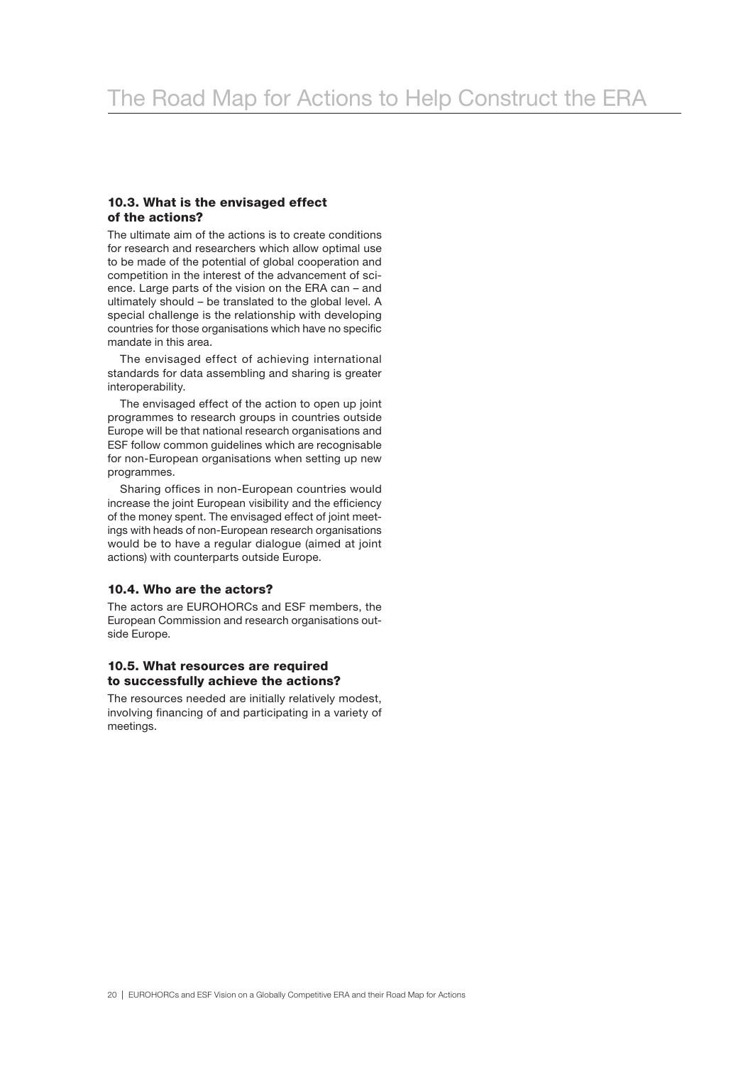### 10.3. What is the envisaged effect of the actions?

The ultimate aim of the actions is to create conditions for research and researchers which allow optimal use to be made of the potential of global cooperation and competition in the interest of the advancement of science. Large parts of the vision on the ERA can – and ultimately should – be translated to the global level. A special challenge is the relationship with developing countries for those organisations which have no specific mandate in this area.

The envisaged effect of achieving international standards for data assembling and sharing is greater interoperability.

The envisaged effect of the action to open up joint programmes to research groups in countries outside Europe will be that national research organisations and ESF follow common guidelines which are recognisable for non-European organisations when setting up new programmes.

Sharing offices in non-European countries would increase the joint European visibility and the efficiency of the money spent. The envisaged effect of joint meetings with heads of non-European research organisations would be to have a regular dialogue (aimed at joint actions) with counterparts outside Europe.

### 10.4. Who are the actors?

The actors are EUROHORCs and ESF members, the European Commission and research organisations outside Europe.

### 10.5. What resources are required to successfully achieve the actions?

The resources needed are initially relatively modest, involving financing of and participating in a variety of meetings.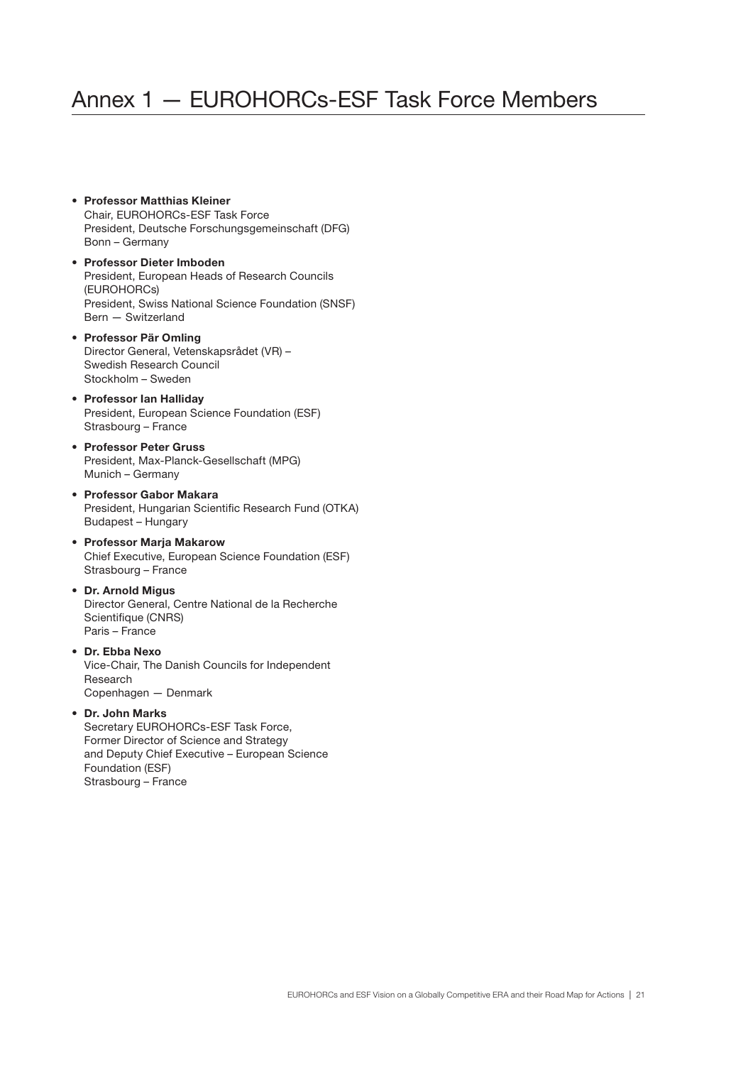# Annex 1 — EUROHORCs-ESF Task Force Members

- • Professor Matthias Kleiner Chair, EUROHORCs-ESF Task Force President, Deutsche Forschungsgemeinschaft (DFG) Bonn – Germany
- • Professor Dieter Imboden President, European Heads of Research Councils (EUROHORCs) President, Swiss National Science Foundation (SNSF) Bern — Switzerland
- • Professor Pär Omling Director General, Vetenskapsrådet (VR) – Swedish Research Council Stockholm – Sweden
- • Professor Ian Halliday President, European Science Foundation (ESF) Strasbourg – France
- • Professor Peter Gruss President, Max-Planck-Gesellschaft (MPG) Munich – Germany
- • Professor Gabor Makara President, Hungarian Scientific Research Fund (OTKA) Budapest – Hungary
- • Professor Marja Makarow Chief Executive, European Science Foundation (ESF) Strasbourg – France
- • Dr. Arnold Migus Director General, Centre National de la Recherche Scientifique (CNRS) Paris – France
- • Dr. Ebba Nexo Vice-Chair, The Danish Councils for Independent Research Copenhagen — Denmark
- • Dr. John Marks

Secretary EUROHORCs-ESF Task Force, Former Director of Science and Strategy and Deputy Chief Executive – European Science Foundation (ESF) Strasbourg – France